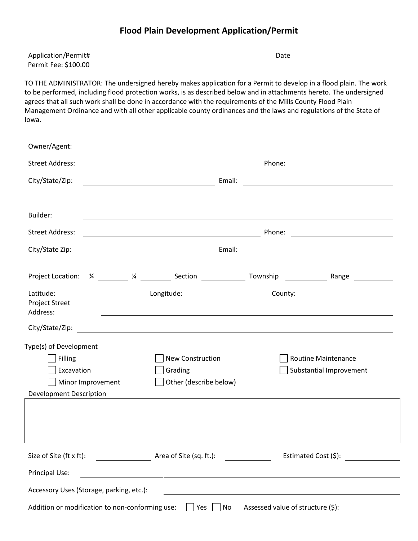## **Flood Plain Development Application/Permit**

| Application/Permit#  | Date |  |
|----------------------|------|--|
| Permit Fee: \$100.00 |      |  |

TO THE ADMINISTRATOR: The undersigned hereby makes application for a Permit to develop in a flood plain. The work to be performed, including flood protection works, is as described below and in attachments hereto. The undersigned agrees that all such work shall be done in accordance with the requirements of the Mills County Flood Plain Management Ordinance and with all other applicable county ordinances and the laws and regulations of the State of Iowa.

| Owner/Agent:                                        |                                                                                                                       |                                                                                                                       |                                                                                                                     |  |  |
|-----------------------------------------------------|-----------------------------------------------------------------------------------------------------------------------|-----------------------------------------------------------------------------------------------------------------------|---------------------------------------------------------------------------------------------------------------------|--|--|
| <b>Street Address:</b>                              | <u> 1989 - Johann Barn, amerikansk politiker (d. 1989)</u>                                                            | Phone:                                                                                                                | <u> 1980 - Andrea Albert III, poet e pre</u>                                                                        |  |  |
| City/State/Zip:                                     | <u> 1989 - Johann Barn, mars eta bainar eta baina eta baina eta baina eta baina eta baina eta baina eta baina e</u>   | Email:                                                                                                                | <u> 1989 - Johann Barn, mars eta bainar eta baina eta baina eta baina eta baina eta baina eta baina eta baina e</u> |  |  |
| Builder:                                            |                                                                                                                       |                                                                                                                       |                                                                                                                     |  |  |
| <b>Street Address:</b>                              |                                                                                                                       |                                                                                                                       |                                                                                                                     |  |  |
| City/State Zip:                                     |                                                                                                                       |                                                                                                                       |                                                                                                                     |  |  |
|                                                     | Project Location: $\frac{1}{4}$ 1 $\frac{1}{4}$ Section 1 Section 2 Township 2 Range 2 Range                          |                                                                                                                       |                                                                                                                     |  |  |
| Latitude:<br><b>Project Street</b><br>Address:      | <u> 1999 - Johann Harry Harry Harry Harry Harry Harry Harry Harry Harry Harry Harry Harry Harry Harry Harry Harry</u> |                                                                                                                       |                                                                                                                     |  |  |
|                                                     |                                                                                                                       |                                                                                                                       |                                                                                                                     |  |  |
| Type(s) of Development                              |                                                                                                                       |                                                                                                                       |                                                                                                                     |  |  |
| Filling                                             | <b>New Construction</b>                                                                                               | <b>Routine Maintenance</b>                                                                                            |                                                                                                                     |  |  |
| Excavation                                          | Grading                                                                                                               |                                                                                                                       | Substantial Improvement                                                                                             |  |  |
| Minor Improvement<br><b>Development Description</b> | Other (describe below)                                                                                                |                                                                                                                       |                                                                                                                     |  |  |
|                                                     |                                                                                                                       |                                                                                                                       |                                                                                                                     |  |  |
|                                                     |                                                                                                                       |                                                                                                                       |                                                                                                                     |  |  |
|                                                     | Size of Site (ft x ft): $\qquad \qquad$ Area of Site (sq. ft.):                                                       |                                                                                                                       | Estimated Cost (\$):                                                                                                |  |  |
| Principal Use:                                      | <u> 1989 - Jan Samuel Barbara, margaret eta idazlearia (h. 1982).</u>                                                 |                                                                                                                       |                                                                                                                     |  |  |
| Accessory Uses (Storage, parking, etc.):            |                                                                                                                       | <u> 1989 - Johann Stoff, deutscher Stoffen und der Stoffen und der Stoffen und der Stoffen und der Stoffen und de</u> |                                                                                                                     |  |  |
| Addition or modification to non-conforming use:     | $ $ Yes $ $                                                                                                           | Assessed value of structure (\$):<br>No                                                                               |                                                                                                                     |  |  |